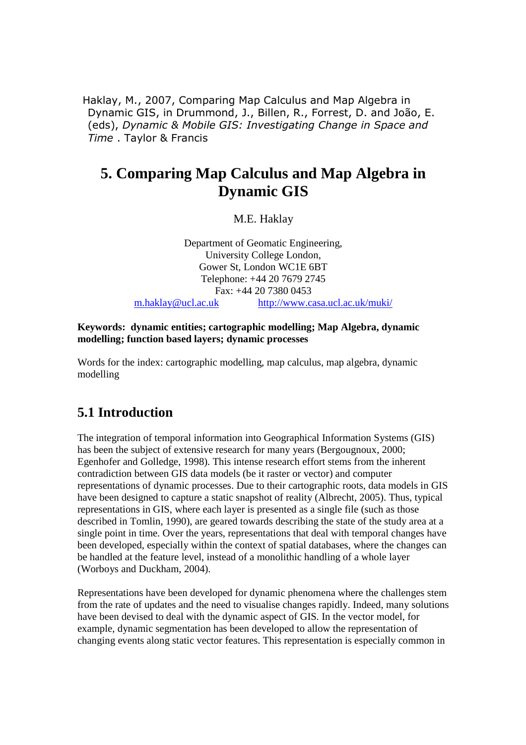Haklay, M., 2007, Comparing Map Calculus and Map Algebra in Dynamic GIS, in Drummond, J., Billen, R., Forrest, D. and João, E. (eds), Dynamic & Mobile GIS: Investigating Change in Space and Time . Taylor & Francis

# **5. Comparing Map Calculus and Map Algebra in Dynamic GIS**

M.E. Haklay

Department of Geomatic Engineering, University College London, Gower St, London WC1E 6BT Telephone: +44 20 7679 2745 Fax: +44 20 7380 0453 m.haklay@ucl.ac.uk http://www.casa.ucl.ac.uk/muki/

#### **Keywords: dynamic entities; cartographic modelling; Map Algebra, dynamic modelling; function based layers; dynamic processes**

Words for the index: cartographic modelling, map calculus, map algebra, dynamic modelling

# **5.1 Introduction**

The integration of temporal information into Geographical Information Systems (GIS) has been the subject of extensive research for many years (Bergougnoux, 2000; Egenhofer and Golledge, 1998). This intense research effort stems from the inherent contradiction between GIS data models (be it raster or vector) and computer representations of dynamic processes. Due to their cartographic roots, data models in GIS have been designed to capture a static snapshot of reality (Albrecht, 2005). Thus, typical representations in GIS, where each layer is presented as a single file (such as those described in Tomlin, 1990), are geared towards describing the state of the study area at a single point in time. Over the years, representations that deal with temporal changes have been developed, especially within the context of spatial databases, where the changes can be handled at the feature level, instead of a monolithic handling of a whole layer (Worboys and Duckham, 2004).

Representations have been developed for dynamic phenomena where the challenges stem from the rate of updates and the need to visualise changes rapidly. Indeed, many solutions have been devised to deal with the dynamic aspect of GIS. In the vector model, for example, dynamic segmentation has been developed to allow the representation of changing events along static vector features. This representation is especially common in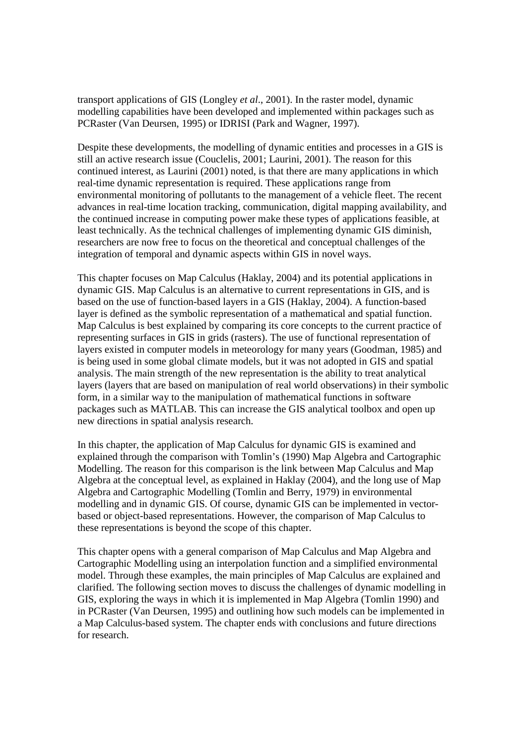transport applications of GIS (Longley *et al*., 2001). In the raster model, dynamic modelling capabilities have been developed and implemented within packages such as PCRaster (Van Deursen, 1995) or IDRISI (Park and Wagner, 1997).

Despite these developments, the modelling of dynamic entities and processes in a GIS is still an active research issue (Couclelis, 2001; Laurini, 2001). The reason for this continued interest, as Laurini (2001) noted, is that there are many applications in which real-time dynamic representation is required. These applications range from environmental monitoring of pollutants to the management of a vehicle fleet. The recent advances in real-time location tracking, communication, digital mapping availability, and the continued increase in computing power make these types of applications feasible, at least technically. As the technical challenges of implementing dynamic GIS diminish, researchers are now free to focus on the theoretical and conceptual challenges of the integration of temporal and dynamic aspects within GIS in novel ways.

This chapter focuses on Map Calculus (Haklay, 2004) and its potential applications in dynamic GIS. Map Calculus is an alternative to current representations in GIS, and is based on the use of function-based layers in a GIS (Haklay, 2004). A function-based layer is defined as the symbolic representation of a mathematical and spatial function. Map Calculus is best explained by comparing its core concepts to the current practice of representing surfaces in GIS in grids (rasters). The use of functional representation of layers existed in computer models in meteorology for many years (Goodman, 1985) and is being used in some global climate models, but it was not adopted in GIS and spatial analysis. The main strength of the new representation is the ability to treat analytical layers (layers that are based on manipulation of real world observations) in their symbolic form, in a similar way to the manipulation of mathematical functions in software packages such as MATLAB. This can increase the GIS analytical toolbox and open up new directions in spatial analysis research.

In this chapter, the application of Map Calculus for dynamic GIS is examined and explained through the comparison with Tomlin's (1990) Map Algebra and Cartographic Modelling. The reason for this comparison is the link between Map Calculus and Map Algebra at the conceptual level, as explained in Haklay (2004), and the long use of Map Algebra and Cartographic Modelling (Tomlin and Berry, 1979) in environmental modelling and in dynamic GIS. Of course, dynamic GIS can be implemented in vectorbased or object-based representations. However, the comparison of Map Calculus to these representations is beyond the scope of this chapter.

This chapter opens with a general comparison of Map Calculus and Map Algebra and Cartographic Modelling using an interpolation function and a simplified environmental model. Through these examples, the main principles of Map Calculus are explained and clarified. The following section moves to discuss the challenges of dynamic modelling in GIS, exploring the ways in which it is implemented in Map Algebra (Tomlin 1990) and in PCRaster (Van Deursen, 1995) and outlining how such models can be implemented in a Map Calculus-based system. The chapter ends with conclusions and future directions for research.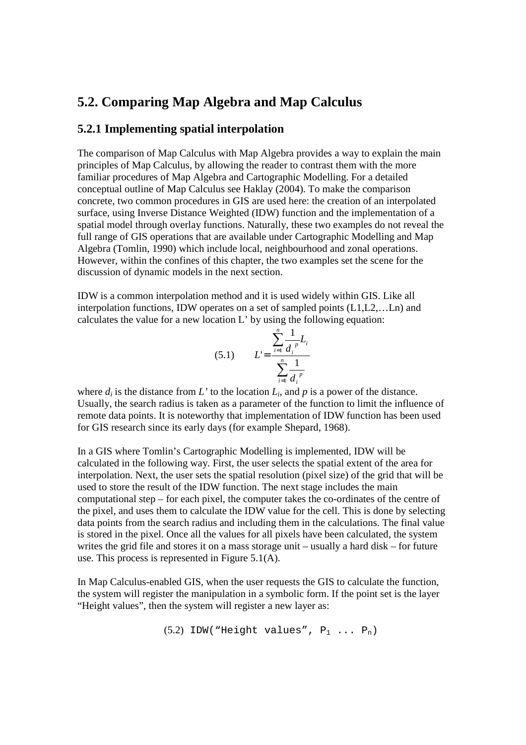### **5.2. Comparing Map Algebra and Map Calculus**

#### **5.2.1 Implementing spatial interpolation**

The comparison of Map Calculus with Map Algebra provides a way to explain the main principles of Map Calculus, by allowing the reader to contrast them with the more familiar procedures of Map Algebra and Cartographic Modelling. For a detailed conceptual outline of Map Calculus see Haklay (2004). To make the comparison concrete, two common procedures in GIS are used here: the creation of an interpolated surface, using Inverse Distance Weighted (IDW) function and the implementation of a spatial model through overlay functions. Naturally, these two examples do not reveal the full range of GIS operations that are available under Cartographic Modelling and Map Algebra (Tomlin, 1990) which include local, neighbourhood and zonal operations. However, within the confines of this chapter, the two examples set the scene for the discussion of dynamic models in the next section.

IDW is a common interpolation method and it is used widely within GIS. Like all interpolation functions, IDW operates on a set of sampled points (L1,L2,…Ln) and calculates the value for a new location L' by using the following equation:

(5.1) 
$$
L = \frac{\sum_{i=1}^{n} \frac{1}{d_i^p} L_i}{\sum_{i=1}^{n} \frac{1}{d_i^p}}
$$

where  $d_i$  is the distance from  $L'$  to the location  $L_i$ , and  $p$  is a power of the distance. Usually, the search radius is taken as a parameter of the function to limit the influence of remote data points. It is noteworthy that implementation of IDW function has been used for GIS research since its early days (for example Shepard, 1968).

In a GIS where Tomlin's Cartographic Modelling is implemented, IDW will be calculated in the following way. First, the user selects the spatial extent of the area for interpolation. Next, the user sets the spatial resolution (pixel size) of the grid that will be used to store the result of the IDW function. The next stage includes the main computational step – for each pixel, the computer takes the co-ordinates of the centre of the pixel, and uses them to calculate the IDW value for the cell. This is done by selecting data points from the search radius and including them in the calculations. The final value is stored in the pixel. Once all the values for all pixels have been calculated, the system writes the grid file and stores it on a mass storage unit – usually a hard disk – for future use. This process is represented in Figure 5.1(A).

In Map Calculus-enabled GIS, when the user requests the GIS to calculate the function, the system will register the manipulation in a symbolic form. If the point set is the layer "Height values", then the system will register a new layer as:

(5.2) 
$$
\text{IDW}(\text{``Height values''}, \text{P}_1 \ldots \text{P}_n)
$$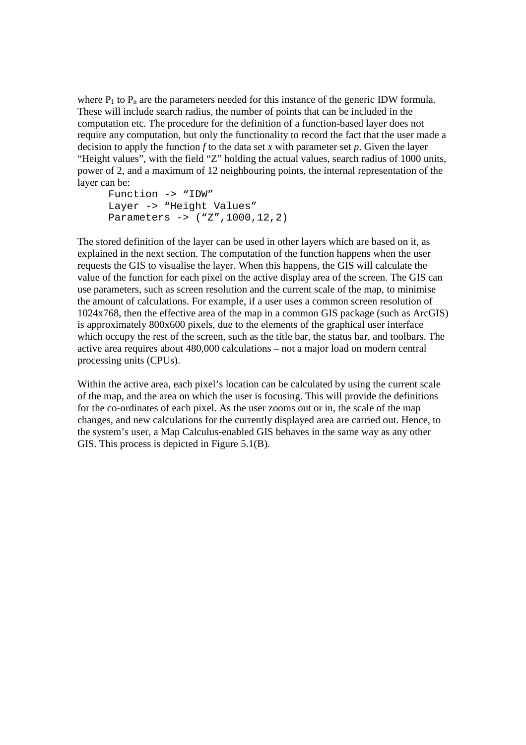where  $P_1$  to  $P_n$  are the parameters needed for this instance of the generic IDW formula. These will include search radius, the number of points that can be included in the computation etc. The procedure for the definition of a function-based layer does not require any computation, but only the functionality to record the fact that the user made a decision to apply the function  $f$  to the data set  $x$  with parameter set  $p$ . Given the layer "Height values", with the field "Z" holding the actual values, search radius of 1000 units, power of 2, and a maximum of 12 neighbouring points, the internal representation of the layer can be:

Function -> "IDW" Layer -> "Height Values" Parameters -> ("Z",1000,12,2)

The stored definition of the layer can be used in other layers which are based on it, as explained in the next section. The computation of the function happens when the user requests the GIS to visualise the layer. When this happens, the GIS will calculate the value of the function for each pixel on the active display area of the screen. The GIS can use parameters, such as screen resolution and the current scale of the map, to minimise the amount of calculations. For example, if a user uses a common screen resolution of 1024x768, then the effective area of the map in a common GIS package (such as ArcGIS) is approximately 800x600 pixels, due to the elements of the graphical user interface which occupy the rest of the screen, such as the title bar, the status bar, and toolbars. The active area requires about 480,000 calculations – not a major load on modern central processing units (CPUs).

Within the active area, each pixel's location can be calculated by using the current scale of the map, and the area on which the user is focusing. This will provide the definitions for the co-ordinates of each pixel. As the user zooms out or in, the scale of the map changes, and new calculations for the currently displayed area are carried out. Hence, to the system's user, a Map Calculus-enabled GIS behaves in the same way as any other GIS. This process is depicted in Figure 5.1(B).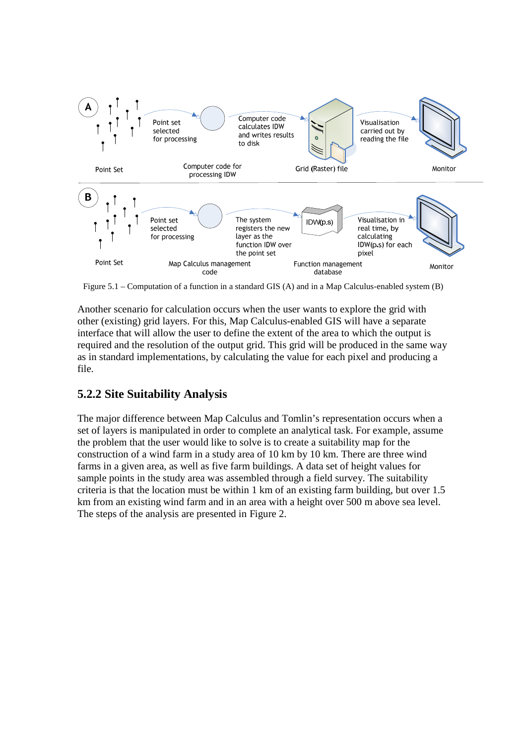

Figure 5.1 – Computation of a function in a standard GIS (A) and in a Map Calculus-enabled system (B)

Another scenario for calculation occurs when the user wants to explore the grid with other (existing) grid layers. For this, Map Calculus-enabled GIS will have a separate interface that will allow the user to define the extent of the area to which the output is required and the resolution of the output grid. This grid will be produced in the same way as in standard implementations, by calculating the value for each pixel and producing a file.

#### **5.2.2 Site Suitability Analysis**

The major difference between Map Calculus and Tomlin's representation occurs when a set of layers is manipulated in order to complete an analytical task. For example, assume the problem that the user would like to solve is to create a suitability map for the construction of a wind farm in a study area of 10 km by 10 km. There are three wind farms in a given area, as well as five farm buildings. A data set of height values for sample points in the study area was assembled through a field survey. The suitability criteria is that the location must be within 1 km of an existing farm building, but over 1.5 km from an existing wind farm and in an area with a height over 500 m above sea level. The steps of the analysis are presented in Figure 2.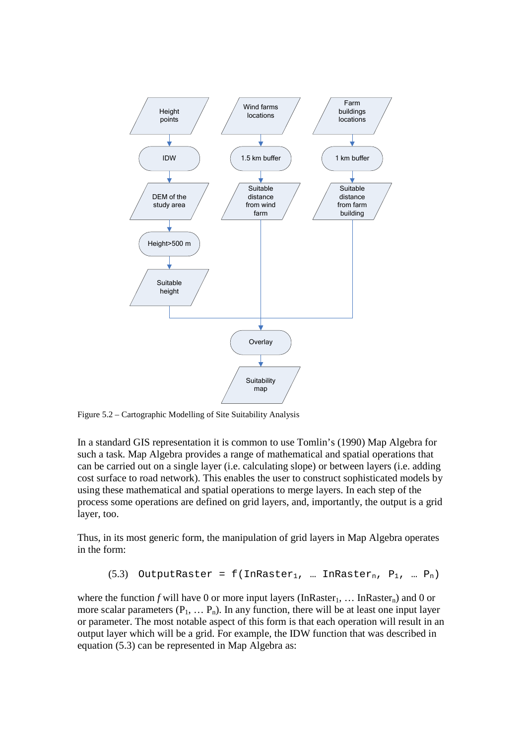

Figure 5.2 – Cartographic Modelling of Site Suitability Analysis

In a standard GIS representation it is common to use Tomlin's (1990) Map Algebra for such a task. Map Algebra provides a range of mathematical and spatial operations that can be carried out on a single layer (i.e. calculating slope) or between layers (i.e. adding cost surface to road network). This enables the user to construct sophisticated models by using these mathematical and spatial operations to merge layers. In each step of the process some operations are defined on grid layers, and, importantly, the output is a grid layer, too.

Thus, in its most generic form, the manipulation of grid layers in Map Algebra operates in the form:

(5.3) OutputRaster =  $f(InRaster_1, ... InRaster_n, P_1, ... P_n)$ 

where the function *f* will have 0 or more input layers (InRaster<sub>1</sub>, ... InRaster<sub>n</sub>) and 0 or more scalar parameters  $(P_1, \ldots, P_n)$ . In any function, there will be at least one input layer or parameter. The most notable aspect of this form is that each operation will result in an output layer which will be a grid. For example, the IDW function that was described in equation (5.3) can be represented in Map Algebra as: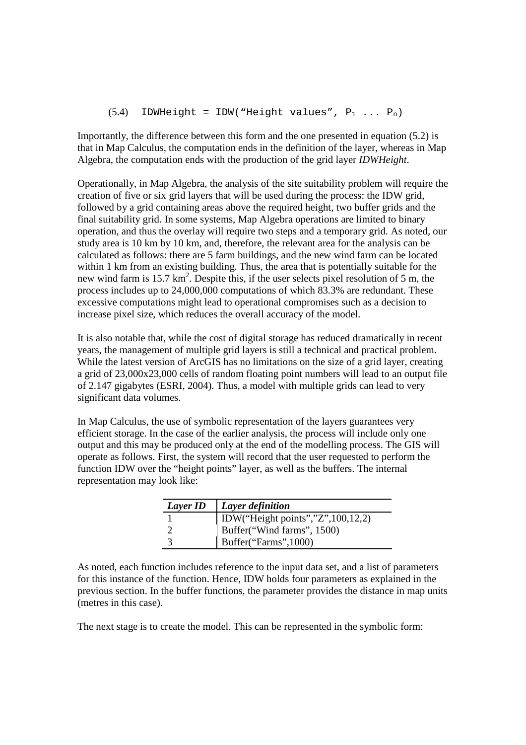$(5.4)$  IDWHeight = IDW("Height values",  $P_1$  ...  $P_n$ )

Importantly, the difference between this form and the one presented in equation (5.2) is that in Map Calculus, the computation ends in the definition of the layer, whereas in Map Algebra, the computation ends with the production of the grid layer *IDWHeight*.

Operationally, in Map Algebra, the analysis of the site suitability problem will require the creation of five or six grid layers that will be used during the process: the IDW grid, followed by a grid containing areas above the required height, two buffer grids and the final suitability grid. In some systems, Map Algebra operations are limited to binary operation, and thus the overlay will require two steps and a temporary grid. As noted, our study area is 10 km by 10 km, and, therefore, the relevant area for the analysis can be calculated as follows: there are 5 farm buildings, and the new wind farm can be located within 1 km from an existing building. Thus, the area that is potentially suitable for the new wind farm is 15.7  $km^2$ . Despite this, if the user selects pixel resolution of 5 m, the process includes up to 24,000,000 computations of which 83.3% are redundant. These excessive computations might lead to operational compromises such as a decision to increase pixel size, which reduces the overall accuracy of the model.

It is also notable that, while the cost of digital storage has reduced dramatically in recent years, the management of multiple grid layers is still a technical and practical problem. While the latest version of ArcGIS has no limitations on the size of a grid layer, creating a grid of 23,000x23,000 cells of random floating point numbers will lead to an output file of 2.147 gigabytes (ESRI, 2004). Thus, a model with multiple grids can lead to very significant data volumes.

In Map Calculus, the use of symbolic representation of the layers guarantees very efficient storage. In the case of the earlier analysis, the process will include only one output and this may be produced only at the end of the modelling process. The GIS will operate as follows. First, the system will record that the user requested to perform the function IDW over the "height points" layer, as well as the buffers. The internal representation may look like:

| Layer ID | <b>Layer definition</b>               |
|----------|---------------------------------------|
|          | IDW("Height points","Z", $100,12,2$ ) |
|          | Buffer("Wind farms", 1500)            |
|          | Buffer("Farms", 1000)                 |

As noted, each function includes reference to the input data set, and a list of parameters for this instance of the function. Hence, IDW holds four parameters as explained in the previous section. In the buffer functions, the parameter provides the distance in map units (metres in this case).

The next stage is to create the model. This can be represented in the symbolic form: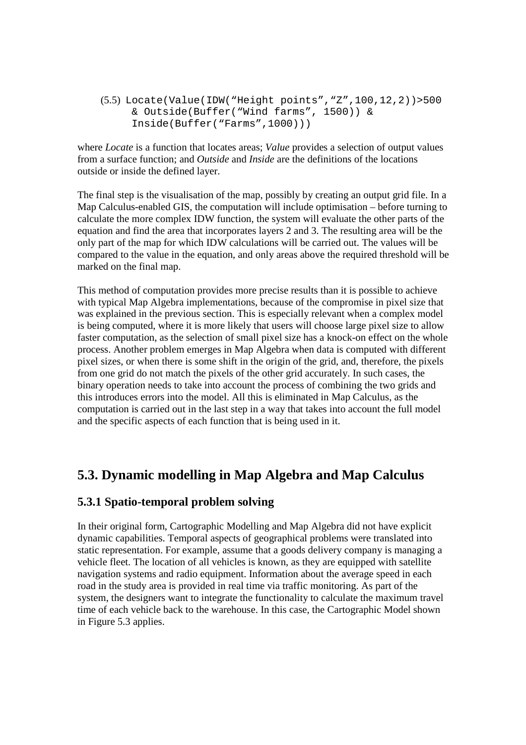```
(5.5) Locate(Value(IDW("Height points","Z",100,12,2))>500
     & Outside(Buffer("Wind farms", 1500)) & 
     Inside(Buffer("Farms",1000)))
```
where *Locate* is a function that locates areas; *Value* provides a selection of output values from a surface function; and *Outside* and *Inside* are the definitions of the locations outside or inside the defined layer.

The final step is the visualisation of the map, possibly by creating an output grid file. In a Map Calculus-enabled GIS, the computation will include optimisation – before turning to calculate the more complex IDW function, the system will evaluate the other parts of the equation and find the area that incorporates layers 2 and 3. The resulting area will be the only part of the map for which IDW calculations will be carried out. The values will be compared to the value in the equation, and only areas above the required threshold will be marked on the final map.

This method of computation provides more precise results than it is possible to achieve with typical Map Algebra implementations, because of the compromise in pixel size that was explained in the previous section. This is especially relevant when a complex model is being computed, where it is more likely that users will choose large pixel size to allow faster computation, as the selection of small pixel size has a knock-on effect on the whole process. Another problem emerges in Map Algebra when data is computed with different pixel sizes, or when there is some shift in the origin of the grid, and, therefore, the pixels from one grid do not match the pixels of the other grid accurately. In such cases, the binary operation needs to take into account the process of combining the two grids and this introduces errors into the model. All this is eliminated in Map Calculus, as the computation is carried out in the last step in a way that takes into account the full model and the specific aspects of each function that is being used in it.

## **5.3. Dynamic modelling in Map Algebra and Map Calculus**

#### **5.3.1 Spatio-temporal problem solving**

In their original form, Cartographic Modelling and Map Algebra did not have explicit dynamic capabilities. Temporal aspects of geographical problems were translated into static representation. For example, assume that a goods delivery company is managing a vehicle fleet. The location of all vehicles is known, as they are equipped with satellite navigation systems and radio equipment. Information about the average speed in each road in the study area is provided in real time via traffic monitoring. As part of the system, the designers want to integrate the functionality to calculate the maximum travel time of each vehicle back to the warehouse. In this case, the Cartographic Model shown in Figure 5.3 applies.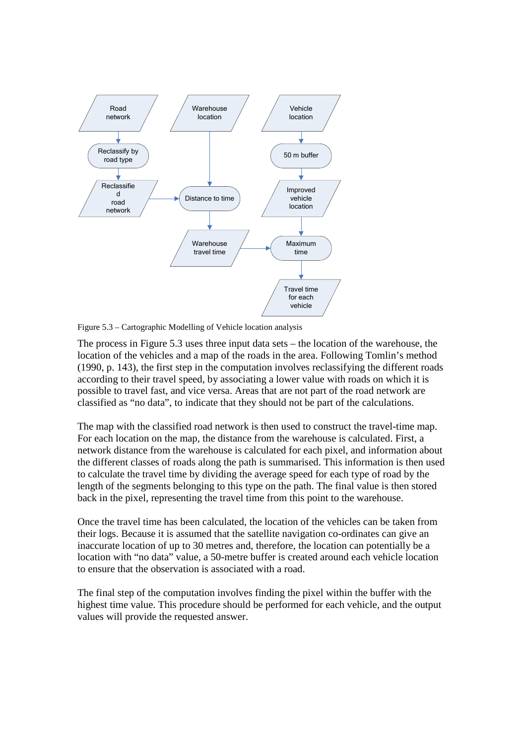

Figure 5.3 – Cartographic Modelling of Vehicle location analysis

The process in Figure 5.3 uses three input data sets – the location of the warehouse, the location of the vehicles and a map of the roads in the area. Following Tomlin's method (1990, p. 143), the first step in the computation involves reclassifying the different roads according to their travel speed, by associating a lower value with roads on which it is possible to travel fast, and vice versa. Areas that are not part of the road network are classified as "no data", to indicate that they should not be part of the calculations.

The map with the classified road network is then used to construct the travel-time map. For each location on the map, the distance from the warehouse is calculated. First, a network distance from the warehouse is calculated for each pixel, and information about the different classes of roads along the path is summarised. This information is then used to calculate the travel time by dividing the average speed for each type of road by the length of the segments belonging to this type on the path. The final value is then stored back in the pixel, representing the travel time from this point to the warehouse.

Once the travel time has been calculated, the location of the vehicles can be taken from their logs. Because it is assumed that the satellite navigation co-ordinates can give an inaccurate location of up to 30 metres and, therefore, the location can potentially be a location with "no data" value, a 50-metre buffer is created around each vehicle location to ensure that the observation is associated with a road.

The final step of the computation involves finding the pixel within the buffer with the highest time value. This procedure should be performed for each vehicle, and the output values will provide the requested answer.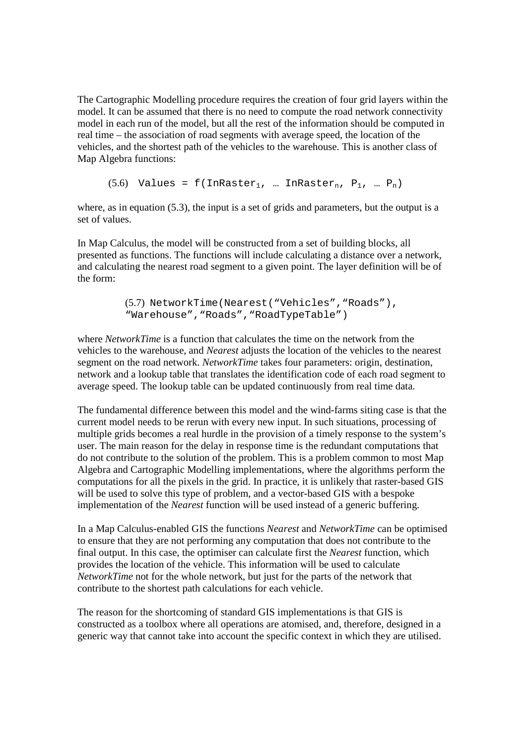The Cartographic Modelling procedure requires the creation of four grid layers within the model. It can be assumed that there is no need to compute the road network connectivity model in each run of the model, but all the rest of the information should be computed in real time – the association of road segments with average speed, the location of the vehicles, and the shortest path of the vehicles to the warehouse. This is another class of Map Algebra functions:

 $(5.6)$  Values = f(InRaster<sub>1</sub>, ... InRaster<sub>n</sub>, P<sub>1</sub>, ... P<sub>n</sub>)

where, as in equation (5.3), the input is a set of grids and parameters, but the output is a set of values.

In Map Calculus, the model will be constructed from a set of building blocks, all presented as functions. The functions will include calculating a distance over a network, and calculating the nearest road segment to a given point. The layer definition will be of the form:

> (5.7) NetworkTime(Nearest("Vehicles","Roads"), "Warehouse","Roads","RoadTypeTable")

where *NetworkTime* is a function that calculates the time on the network from the vehicles to the warehouse, and *Nearest* adjusts the location of the vehicles to the nearest segment on the road network. *NetworkTime* takes four parameters: origin, destination, network and a lookup table that translates the identification code of each road segment to average speed. The lookup table can be updated continuously from real time data.

The fundamental difference between this model and the wind-farms siting case is that the current model needs to be rerun with every new input. In such situations, processing of multiple grids becomes a real hurdle in the provision of a timely response to the system's user. The main reason for the delay in response time is the redundant computations that do not contribute to the solution of the problem. This is a problem common to most Map Algebra and Cartographic Modelling implementations, where the algorithms perform the computations for all the pixels in the grid. In practice, it is unlikely that raster-based GIS will be used to solve this type of problem, and a vector-based GIS with a bespoke implementation of the *Nearest* function will be used instead of a generic buffering.

In a Map Calculus-enabled GIS the functions *Nearest* and *NetworkTime* can be optimised to ensure that they are not performing any computation that does not contribute to the final output. In this case, the optimiser can calculate first the *Nearest* function, which provides the location of the vehicle. This information will be used to calculate *NetworkTime* not for the whole network, but just for the parts of the network that contribute to the shortest path calculations for each vehicle.

The reason for the shortcoming of standard GIS implementations is that GIS is constructed as a toolbox where all operations are atomised, and, therefore, designed in a generic way that cannot take into account the specific context in which they are utilised.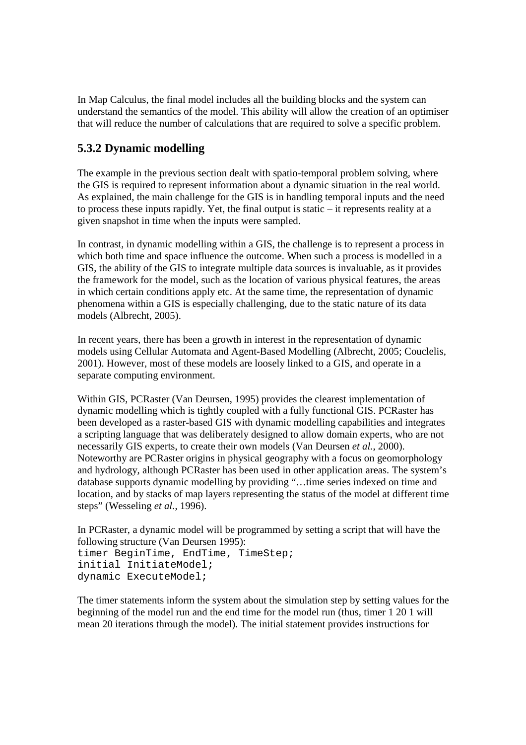In Map Calculus, the final model includes all the building blocks and the system can understand the semantics of the model. This ability will allow the creation of an optimiser that will reduce the number of calculations that are required to solve a specific problem.

### **5.3.2 Dynamic modelling**

The example in the previous section dealt with spatio-temporal problem solving, where the GIS is required to represent information about a dynamic situation in the real world. As explained, the main challenge for the GIS is in handling temporal inputs and the need to process these inputs rapidly. Yet, the final output is static – it represents reality at a given snapshot in time when the inputs were sampled.

In contrast, in dynamic modelling within a GIS, the challenge is to represent a process in which both time and space influence the outcome. When such a process is modelled in a GIS, the ability of the GIS to integrate multiple data sources is invaluable, as it provides the framework for the model, such as the location of various physical features, the areas in which certain conditions apply etc. At the same time, the representation of dynamic phenomena within a GIS is especially challenging, due to the static nature of its data models (Albrecht, 2005).

In recent years, there has been a growth in interest in the representation of dynamic models using Cellular Automata and Agent-Based Modelling (Albrecht, 2005; Couclelis, 2001). However, most of these models are loosely linked to a GIS, and operate in a separate computing environment.

Within GIS, PCRaster (Van Deursen, 1995) provides the clearest implementation of dynamic modelling which is tightly coupled with a fully functional GIS. PCRaster has been developed as a raster-based GIS with dynamic modelling capabilities and integrates a scripting language that was deliberately designed to allow domain experts, who are not necessarily GIS experts, to create their own models (Van Deursen *et al.*, 2000). Noteworthy are PCRaster origins in physical geography with a focus on geomorphology and hydrology, although PCRaster has been used in other application areas. The system's database supports dynamic modelling by providing "…time series indexed on time and location, and by stacks of map layers representing the status of the model at different time steps" (Wesseling *et al.*, 1996).

```
In PCRaster, a dynamic model will be programmed by setting a script that will have the 
following structure (Van Deursen 1995): 
timer BeginTime, EndTime, TimeStep; 
initial InitiateModel; 
dynamic ExecuteModel;
```
The timer statements inform the system about the simulation step by setting values for the beginning of the model run and the end time for the model run (thus, timer 1 20 1 will mean 20 iterations through the model). The initial statement provides instructions for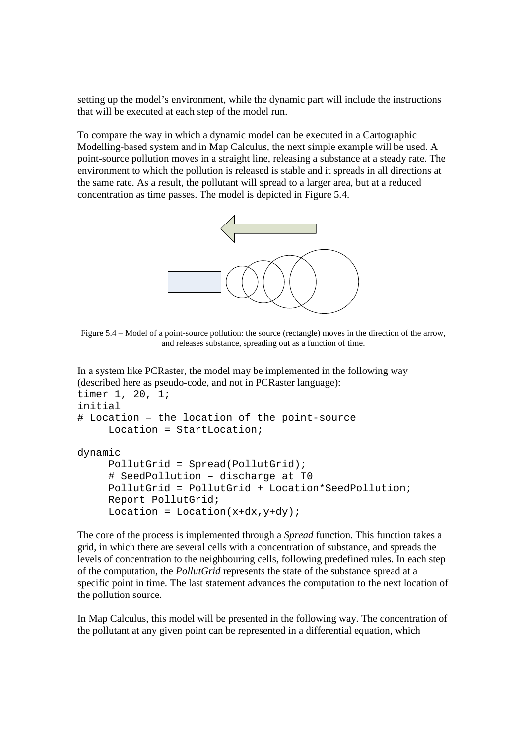setting up the model's environment, while the dynamic part will include the instructions that will be executed at each step of the model run.

To compare the way in which a dynamic model can be executed in a Cartographic Modelling-based system and in Map Calculus, the next simple example will be used. A point-source pollution moves in a straight line, releasing a substance at a steady rate. The environment to which the pollution is released is stable and it spreads in all directions at the same rate. As a result, the pollutant will spread to a larger area, but at a reduced concentration as time passes. The model is depicted in Figure 5.4.



Figure 5.4 – Model of a point-source pollution: the source (rectangle) moves in the direction of the arrow, and releases substance, spreading out as a function of time.

In a system like PCRaster, the model may be implemented in the following way (described here as pseudo-code, and not in PCRaster language):

```
timer 1, 20, 1; 
initial 
# Location – the location of the point-source 
     Location = StartLocation; 
dynamic 
     PollutGrid = Spread(PollutGrid); 
     # SeedPollution – discharge at T0 
     PollutGrid = PollutGrid + Location*SeedPollution; 
     Report PollutGrid; 
     Location = Location(x+dx,y+dy);
```
The core of the process is implemented through a *Spread* function. This function takes a grid, in which there are several cells with a concentration of substance, and spreads the levels of concentration to the neighbouring cells, following predefined rules. In each step of the computation, the *PollutGrid* represents the state of the substance spread at a specific point in time. The last statement advances the computation to the next location of the pollution source.

In Map Calculus, this model will be presented in the following way. The concentration of the pollutant at any given point can be represented in a differential equation, which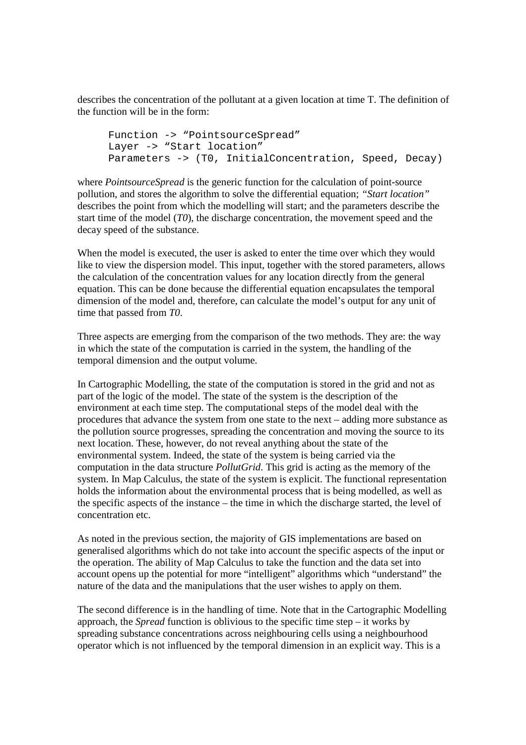describes the concentration of the pollutant at a given location at time T. The definition of the function will be in the form:

```
Function -> "PointsourceSpread" 
 Layer -> "Start location" 
 Parameters -> (T0, InitialConcentration, Speed, Decay)
```
where *PointsourceSpread* is the generic function for the calculation of point-source pollution, and stores the algorithm to solve the differential equation; *"Start location"* describes the point from which the modelling will start; and the parameters describe the start time of the model (*T0*), the discharge concentration, the movement speed and the decay speed of the substance.

When the model is executed, the user is asked to enter the time over which they would like to view the dispersion model. This input, together with the stored parameters, allows the calculation of the concentration values for any location directly from the general equation. This can be done because the differential equation encapsulates the temporal dimension of the model and, therefore, can calculate the model's output for any unit of time that passed from *T0*.

Three aspects are emerging from the comparison of the two methods. They are: the way in which the state of the computation is carried in the system, the handling of the temporal dimension and the output volume.

In Cartographic Modelling, the state of the computation is stored in the grid and not as part of the logic of the model. The state of the system is the description of the environment at each time step. The computational steps of the model deal with the procedures that advance the system from one state to the next – adding more substance as the pollution source progresses, spreading the concentration and moving the source to its next location. These, however, do not reveal anything about the state of the environmental system. Indeed, the state of the system is being carried via the computation in the data structure *PollutGrid*. This grid is acting as the memory of the system. In Map Calculus, the state of the system is explicit. The functional representation holds the information about the environmental process that is being modelled, as well as the specific aspects of the instance – the time in which the discharge started, the level of concentration etc.

As noted in the previous section, the majority of GIS implementations are based on generalised algorithms which do not take into account the specific aspects of the input or the operation. The ability of Map Calculus to take the function and the data set into account opens up the potential for more "intelligent" algorithms which "understand" the nature of the data and the manipulations that the user wishes to apply on them.

The second difference is in the handling of time. Note that in the Cartographic Modelling approach, the *Spread* function is oblivious to the specific time step – it works by spreading substance concentrations across neighbouring cells using a neighbourhood operator which is not influenced by the temporal dimension in an explicit way. This is a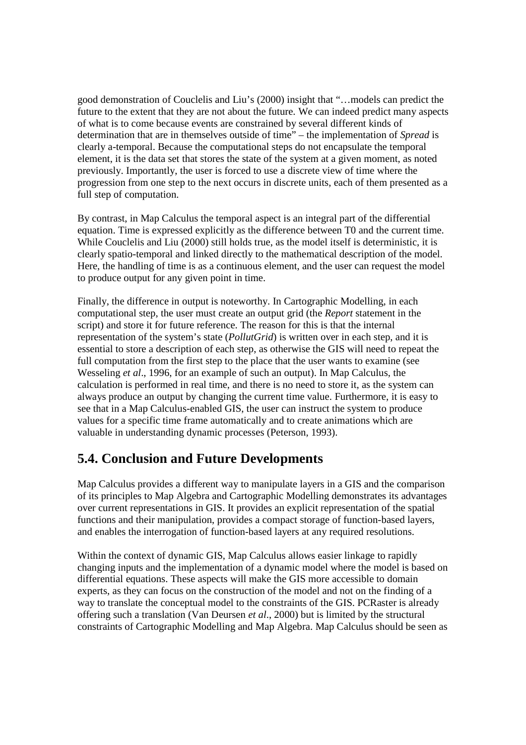good demonstration of Couclelis and Liu's (2000) insight that "…models can predict the future to the extent that they are not about the future. We can indeed predict many aspects of what is to come because events are constrained by several different kinds of determination that are in themselves outside of time" – the implementation of *Spread* is clearly a-temporal. Because the computational steps do not encapsulate the temporal element, it is the data set that stores the state of the system at a given moment, as noted previously. Importantly, the user is forced to use a discrete view of time where the progression from one step to the next occurs in discrete units, each of them presented as a full step of computation.

By contrast, in Map Calculus the temporal aspect is an integral part of the differential equation. Time is expressed explicitly as the difference between T0 and the current time. While Couclelis and Liu (2000) still holds true, as the model itself is deterministic, it is clearly spatio-temporal and linked directly to the mathematical description of the model. Here, the handling of time is as a continuous element, and the user can request the model to produce output for any given point in time.

Finally, the difference in output is noteworthy. In Cartographic Modelling, in each computational step, the user must create an output grid (the *Report* statement in the script) and store it for future reference. The reason for this is that the internal representation of the system's state (*PollutGrid*) is written over in each step, and it is essential to store a description of each step, as otherwise the GIS will need to repeat the full computation from the first step to the place that the user wants to examine (see Wesseling *et al*., 1996, for an example of such an output). In Map Calculus, the calculation is performed in real time, and there is no need to store it, as the system can always produce an output by changing the current time value. Furthermore, it is easy to see that in a Map Calculus-enabled GIS, the user can instruct the system to produce values for a specific time frame automatically and to create animations which are valuable in understanding dynamic processes (Peterson, 1993).

# **5.4. Conclusion and Future Developments**

Map Calculus provides a different way to manipulate layers in a GIS and the comparison of its principles to Map Algebra and Cartographic Modelling demonstrates its advantages over current representations in GIS. It provides an explicit representation of the spatial functions and their manipulation, provides a compact storage of function-based layers, and enables the interrogation of function-based layers at any required resolutions.

Within the context of dynamic GIS, Map Calculus allows easier linkage to rapidly changing inputs and the implementation of a dynamic model where the model is based on differential equations. These aspects will make the GIS more accessible to domain experts, as they can focus on the construction of the model and not on the finding of a way to translate the conceptual model to the constraints of the GIS. PCRaster is already offering such a translation (Van Deursen *et al*., 2000) but is limited by the structural constraints of Cartographic Modelling and Map Algebra. Map Calculus should be seen as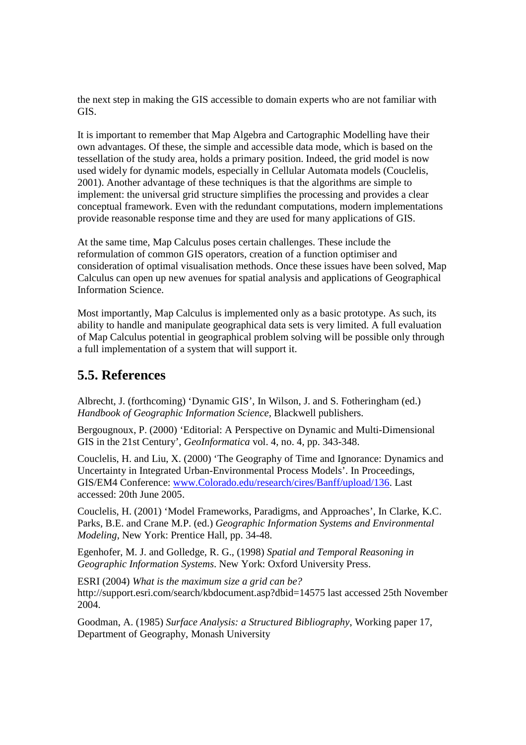the next step in making the GIS accessible to domain experts who are not familiar with GIS.

It is important to remember that Map Algebra and Cartographic Modelling have their own advantages. Of these, the simple and accessible data mode, which is based on the tessellation of the study area, holds a primary position. Indeed, the grid model is now used widely for dynamic models, especially in Cellular Automata models (Couclelis, 2001). Another advantage of these techniques is that the algorithms are simple to implement: the universal grid structure simplifies the processing and provides a clear conceptual framework. Even with the redundant computations, modern implementations provide reasonable response time and they are used for many applications of GIS.

At the same time, Map Calculus poses certain challenges. These include the reformulation of common GIS operators, creation of a function optimiser and consideration of optimal visualisation methods. Once these issues have been solved, Map Calculus can open up new avenues for spatial analysis and applications of Geographical Information Science.

Most importantly, Map Calculus is implemented only as a basic prototype. As such, its ability to handle and manipulate geographical data sets is very limited. A full evaluation of Map Calculus potential in geographical problem solving will be possible only through a full implementation of a system that will support it.

## **5.5. References**

Albrecht, J. (forthcoming) 'Dynamic GIS', In Wilson, J. and S. Fotheringham (ed.) *Handbook of Geographic Information Science,* Blackwell publishers.

Bergougnoux, P. (2000) 'Editorial: A Perspective on Dynamic and Multi-Dimensional GIS in the 21st Century', *GeoInformatica* vol. 4, no. 4, pp. 343-348.

Couclelis, H. and Liu, X. (2000) 'The Geography of Time and Ignorance: Dynamics and Uncertainty in Integrated Urban-Environmental Process Models'. In Proceedings, GIS/EM4 Conference: www.Colorado.edu/research/cires/Banff/upload/136. Last accessed: 20th June 2005.

Couclelis, H. (2001) 'Model Frameworks, Paradigms, and Approaches', In Clarke, K.C. Parks, B.E. and Crane M.P. (ed.) *Geographic Information Systems and Environmental Modeling*, New York: Prentice Hall, pp. 34-48.

Egenhofer, M. J. and Golledge, R. G., (1998) *Spatial and Temporal Reasoning in Geographic Information Systems*. New York: Oxford University Press.

ESRI (2004) *What is the maximum size a grid can be?* http://support.esri.com/search/kbdocument.asp?dbid=14575 last accessed 25th November 2004.

Goodman, A. (1985) *Surface Analysis: a Structured Bibliography*, Working paper 17, Department of Geography, Monash University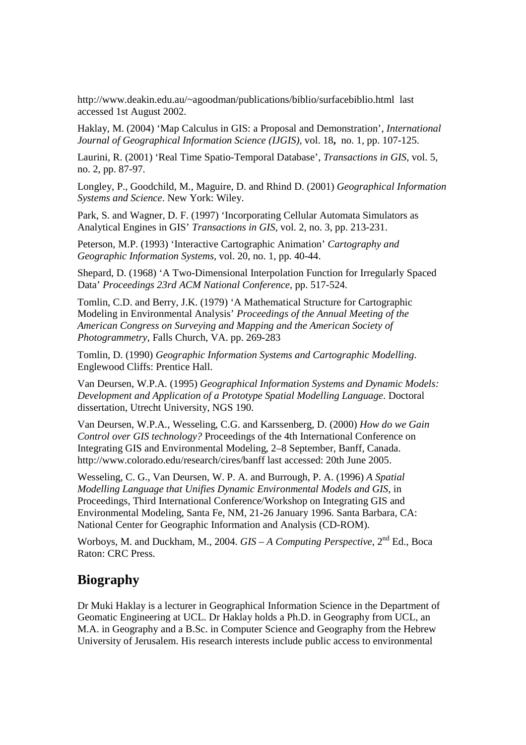http://www.deakin.edu.au/~agoodman/publications/biblio/surfacebiblio.html last accessed 1st August 2002.

Haklay, M. (2004) 'Map Calculus in GIS: a Proposal and Demonstration', *International Journal of Geographical Information Science (IJGIS),* vol. 18**,** no. 1, pp. 107-125.

Laurini, R. (2001) 'Real Time Spatio-Temporal Database', *Transactions in GIS,* vol. 5, no. 2, pp. 87-97.

Longley, P., Goodchild, M., Maguire, D. and Rhind D. (2001) *Geographical Information Systems and Science*. New York: Wiley.

Park, S. and Wagner, D. F. (1997) 'Incorporating Cellular Automata Simulators as Analytical Engines in GIS' *Transactions in GIS*, vol. 2, no. 3, pp. 213-231.

Peterson, M.P. (1993) 'Interactive Cartographic Animation' *Cartography and Geographic Information Systems*, vol. 20, no. 1, pp. 40-44.

Shepard, D. (1968) 'A Two-Dimensional Interpolation Function for Irregularly Spaced Data' *Proceedings 23rd ACM National Conference*, pp. 517-524.

Tomlin, C.D. and Berry, J.K. (1979) 'A Mathematical Structure for Cartographic Modeling in Environmental Analysis' *Proceedings of the Annual Meeting of the American Congress on Surveying and Mapping and the American Society of Photogrammetry*, Falls Church, VA. pp. 269-283

Tomlin, D. (1990) *Geographic Information Systems and Cartographic Modelling*. Englewood Cliffs: Prentice Hall.

Van Deursen, W.P.A. (1995) *Geographical Information Systems and Dynamic Models: Development and Application of a Prototype Spatial Modelling Language*. Doctoral dissertation, Utrecht University, NGS 190.

Van Deursen, W.P.A., Wesseling, C.G. and Karssenberg, D. (2000) *How do we Gain Control over GIS technology?* Proceedings of the 4th International Conference on Integrating GIS and Environmental Modeling, 2–8 September, Banff, Canada. http://www.colorado.edu/research/cires/banff last accessed: 20th June 2005.

Wesseling, C. G., Van Deursen, W. P. A. and Burrough, P. A. (1996) *A Spatial Modelling Language that Unifies Dynamic Environmental Models and GIS*, in Proceedings, Third International Conference/Workshop on Integrating GIS and Environmental Modeling, Santa Fe, NM, 21-26 January 1996. Santa Barbara, CA: National Center for Geographic Information and Analysis (CD-ROM).

Worboys, M. and Duckham, M., 2004. *GIS – A Computing Perspective*, 2<sup>nd</sup> Ed., Boca Raton: CRC Press.

#### **Biography**

Dr Muki Haklay is a lecturer in Geographical Information Science in the Department of Geomatic Engineering at UCL. Dr Haklay holds a Ph.D. in Geography from UCL, an M.A. in Geography and a B.Sc. in Computer Science and Geography from the Hebrew University of Jerusalem. His research interests include public access to environmental